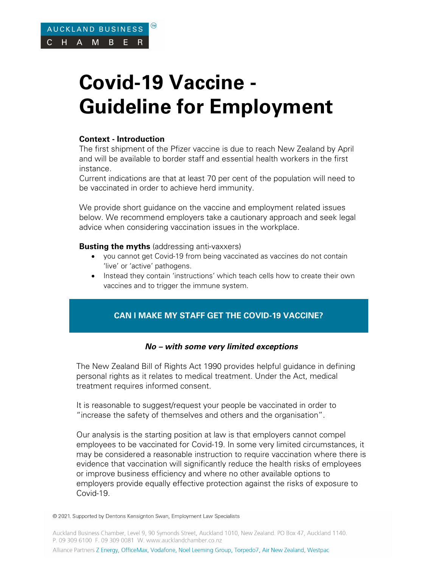# **Covid-19 Vaccine - Guideline for Employment**

# **Context - Introduction**

The first shipment of the Pfizer vaccine is due to reach New Zealand by April and will be available to border staff and essential health workers in the first instance.

Current indications are that at least 70 per cent of the population will need to be vaccinated in order to achieve herd immunity.

We provide short guidance on the vaccine and employment related issues below. We recommend employers take a cautionary approach and seek legal advice when considering vaccination issues in the workplace.

#### **Busting the myths** (addressing anti-vaxxers)

- you cannot get Covid-19 from being vaccinated as vaccines do not contain 'live' or 'active' pathogens.
- Instead they contain 'instructions' which teach cells how to create their own vaccines and to trigger the immune system.

# **CAN I MAKE MY STAFF GET THE COVID-19 VACCINE?**

#### **No – with some very limited exceptions**

The New Zealand Bill of Rights Act 1990 provides helpful guidance in defining personal rights as it relates to medical treatment. Under the Act, medical treatment requires informed consent.

It is reasonable to suggest/request your people be vaccinated in order to "increase the safety of themselves and others and the organisation".

Our analysis is the starting position at law is that employers cannot compel employees to be vaccinated for Covid-19. In some very limited circumstances, it may be considered a reasonable instruction to require vaccination where there is evidence that vaccination will significantly reduce the health risks of employees or improve business efficiency and where no other available options to employers provide equally effective protection against the risks of exposure to Covid-19.

© 2021. Supported by Dentons Kensignton Swan, Employment Law Specialists

Auckland Business Chamber, Level 9, 90 Symonds Street, Auckland 1010, New Zealand. PO Box 47, Auckland 1140. P. 09 309 6100 F. 09 309 0081 W. www.aucklandchamber.co.nz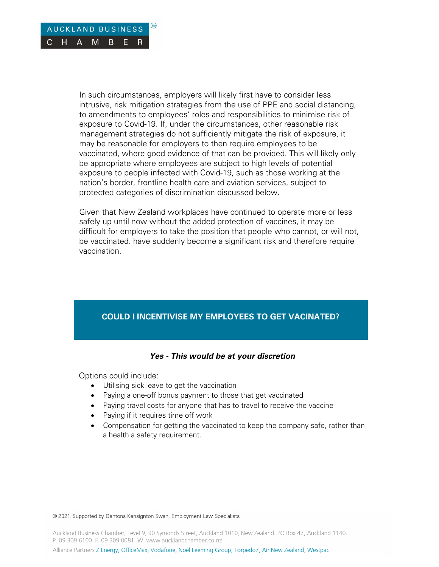

In such circumstances, employers will likely first have to consider less intrusive, risk mitigation strategies from the use of PPE and social distancing, to amendments to employees' roles and responsibilities to minimise risk of exposure to Covid-19. If, under the circumstances, other reasonable risk management strategies do not sufficiently mitigate the risk of exposure, it may be reasonable for employers to then require employees to be vaccinated, where good evidence of that can be provided. This will likely only be appropriate where employees are subject to high levels of potential exposure to people infected with Covid-19, such as those working at the nation's border, frontline health care and aviation services, subject to protected categories of discrimination discussed below.

Given that New Zealand workplaces have continued to operate more or less safely up until now without the added protection of vaccines, it may be difficult for employers to take the position that people who cannot, or will not, be vaccinated. have suddenly become a significant risk and therefore require vaccination.

# **COULD I INCENTIVISE MY EMPLOYEES TO GET VACINATED?**

#### **Yes - This would be at your discretion**

Options could include:

- Utilising sick leave to get the vaccination
- Paying a one-off bonus payment to those that get vaccinated
- Paying travel costs for anyone that has to travel to receive the vaccine
- Paying if it requires time off work
- Compensation for getting the vaccinated to keep the company safe, rather than a health a safety requirement.

© 2021. Supported by Dentons Kensignton Swan, Employment Law Specialists

Auckland Business Chamber, Level 9, 90 Symonds Street, Auckland 1010, New Zealand. PO Box 47, Auckland 1140. P. 09 309 6100 F. 09 309 0081 W. www.aucklandchamber.co.nz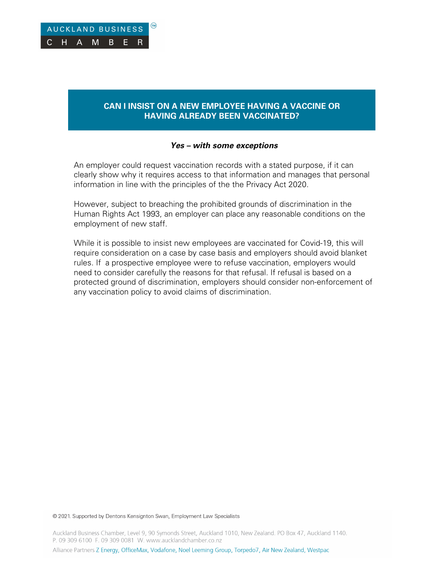# **CAN I INSIST ON A NEW EMPLOYEE HAVING A VACCINE OR HAVING ALREADY BEEN VACCINATED?**

#### **Yes – with some exceptions**

An employer could request vaccination records with a stated purpose, if it can clearly show why it requires access to that information and manages that personal information in line with the principles of the the Privacy Act 2020.

However, subject to breaching the prohibited grounds of discrimination in the Human Rights Act 1993, an employer can place any reasonable conditions on the employment of new staff.

While it is possible to insist new employees are vaccinated for Covid-19, this will require consideration on a case by case basis and employers should avoid blanket rules. If a prospective employee were to refuse vaccination, employers would need to consider carefully the reasons for that refusal. If refusal is based on a protected ground of discrimination, employers should consider non-enforcement of any vaccination policy to avoid claims of discrimination.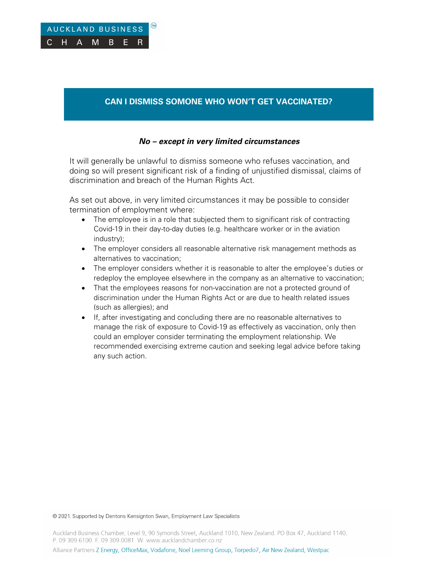# **CAN I DISMISS SOMONE WHO WON'T GET VACCINATED?**

### **No – except in very limited circumstances**

It will generally be unlawful to dismiss someone who refuses vaccination, and doing so will present significant risk of a finding of unjustified dismissal, claims of discrimination and breach of the Human Rights Act.

As set out above, in very limited circumstances it may be possible to consider termination of employment where:

- The employee is in a role that subjected them to significant risk of contracting Covid-19 in their day-to-day duties (e.g. healthcare worker or in the aviation industry);
- The employer considers all reasonable alternative risk management methods as alternatives to vaccination;
- The employer considers whether it is reasonable to alter the employee's duties or redeploy the employee elsewhere in the company as an alternative to vaccination;
- That the employees reasons for non-vaccination are not a protected ground of discrimination under the Human Rights Act or are due to health related issues (such as allergies); and
- If, after investigating and concluding there are no reasonable alternatives to manage the risk of exposure to Covid-19 as effectively as vaccination, only then could an employer consider terminating the employment relationship. We recommended exercising extreme caution and seeking legal advice before taking any such action.

© 2021. Supported by Dentons Kensignton Swan, Employment Law Specialists

Auckland Business Chamber, Level 9, 90 Symonds Street, Auckland 1010, New Zealand. PO Box 47, Auckland 1140. P. 09 309 6100 F. 09 309 0081 W. www.aucklandchamber.co.nz